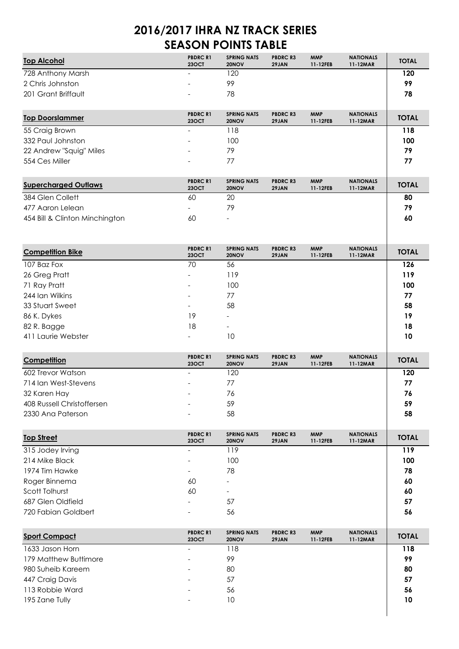## **2016/2017 IHRA NZ TRACK SERIES SEASON POINTS TABLE**

| U I I<br>————<br>. .           |                                |                             |                          |                        |                              |              |  |  |  |
|--------------------------------|--------------------------------|-----------------------------|--------------------------|------------------------|------------------------------|--------------|--|--|--|
| <b>Top Alcohol</b>             | <b>PBDRCR1</b><br><b>23OCT</b> | <b>SPRING NATS</b><br>20NOV | <b>PBDRC R3</b><br>29JAN | <b>MMP</b><br>11-12FEB | <b>NATIONALS</b><br>11-12MAR | <b>TOTAL</b> |  |  |  |
| 728 Anthony Marsh              |                                | 120                         |                          |                        |                              | 120          |  |  |  |
| 2 Chris Johnston               |                                | 99                          |                          |                        |                              | 99           |  |  |  |
| 201 Grant Briffault            |                                | 78                          |                          |                        |                              | 78           |  |  |  |
| <b>Top Doorslammer</b>         | <b>PBDRCR1</b><br><b>23OCT</b> | <b>SPRING NATS</b><br>20NOV | <b>PBDRC R3</b><br>29JAN | <b>MMP</b><br>11-12FEB | <b>NATIONALS</b><br>11-12MAR | <b>TOTAL</b> |  |  |  |
| 55 Craig Brown                 | $\overline{a}$                 | 118                         |                          |                        |                              | 118          |  |  |  |
| 332 Paul Johnston              |                                | 100                         |                          |                        |                              | 100          |  |  |  |
| 22 Andrew "Squig" Miles        |                                | 79                          |                          |                        |                              | 79           |  |  |  |
| 554 Ces Miller                 |                                | 77                          |                          |                        |                              | 77           |  |  |  |
| <b>Supercharged Outlaws</b>    | <b>PBDRCR1</b><br><b>23OCT</b> | <b>SPRING NATS</b><br>20NOV | <b>PBDRC R3</b><br>29JAN | <b>MMP</b><br>11-12FEB | <b>NATIONALS</b><br>11-12MAR | <b>TOTAL</b> |  |  |  |
| 384 Glen Collett               | 60                             | 20                          |                          |                        |                              | 80           |  |  |  |
| 477 Aaron Lelean               |                                | 79                          |                          |                        |                              | 79           |  |  |  |
| 454 Bill & Clinton Minchington | 60                             |                             |                          |                        |                              | 60           |  |  |  |
|                                |                                |                             |                          |                        |                              |              |  |  |  |
| <b>Competition Bike</b>        | <b>PBDRCR1</b><br><b>23OCT</b> | <b>SPRING NATS</b><br>20NOV | <b>PBDRC R3</b><br>29JAN | <b>MMP</b><br>11-12FEB | <b>NATIONALS</b><br>11-12MAR | <b>TOTAL</b> |  |  |  |
| 107 Baz Fox                    | 70                             | 56                          |                          |                        |                              | 126          |  |  |  |
| 26 Greg Pratt                  |                                | 119                         |                          |                        |                              | 119          |  |  |  |
| 71 Ray Pratt                   |                                | 100                         |                          |                        |                              | 100          |  |  |  |
| 244 Ian Wilkins                |                                | 77                          |                          |                        |                              | 77           |  |  |  |
| 33 Stuart Sweet                |                                | 58                          |                          |                        |                              | 58           |  |  |  |
| 86 K. Dykes                    | 19                             |                             |                          |                        |                              | 19           |  |  |  |
| 82 R. Bagge                    | 18                             | $\overline{\phantom{a}}$    |                          |                        |                              | 18           |  |  |  |
| 411 Laurie Webster             |                                | 10                          |                          |                        |                              | 10           |  |  |  |
| Competition                    | <b>PBDRCR1</b><br><b>23OCT</b> | <b>SPRING NATS</b><br>20NOV | <b>PBDRC R3</b><br>29JAN | <b>MMP</b><br>11-12FEB | <b>NATIONALS</b><br>11-12MAR | <b>TOTAL</b> |  |  |  |
| 602 Trevor Watson              | $\overline{a}$                 | 120                         |                          |                        |                              | 120          |  |  |  |
| 714 Ian West-Stevens           |                                | 77                          |                          |                        |                              | 77           |  |  |  |
| 32 Karen Hay                   |                                | 76                          |                          |                        |                              | 76           |  |  |  |
| 408 Russell Christoffersen     |                                | 59                          |                          |                        |                              | 59           |  |  |  |
| 2330 Ana Paterson              |                                | 58                          |                          |                        |                              | 58           |  |  |  |
| <b>Top Street</b>              | <b>PBDRCR1</b><br><b>23OCT</b> | <b>SPRING NATS</b><br>20NOV | <b>PBDRC R3</b><br>29JAN | <b>MMP</b><br>11-12FEB | <b>NATIONALS</b><br>11-12MAR | <b>TOTAL</b> |  |  |  |
| 315 Jodey Irving               | $\overline{\phantom{a}}$       | 119                         |                          |                        |                              | 119          |  |  |  |

| 315 Jodey Irving    |                          | 119                      | 119 |
|---------------------|--------------------------|--------------------------|-----|
| 214 Mike Black      | $\overline{\phantom{a}}$ | 100                      | 100 |
| 1974 Tim Hawke      | $\overline{\phantom{a}}$ | 78                       | 78  |
| Roger Binnema       | 60                       | $\overline{\phantom{a}}$ | 60  |
| Scott Tolhurst      | 60                       | $\qquad \qquad$          | 60  |
| 687 Glen Oldfield   | $\overline{\phantom{a}}$ | 57                       | 57  |
| 720 Fabian Goldbert | $\overline{\phantom{a}}$ | 56                       | 56  |
|                     |                          |                          |     |
|                     |                          |                          |     |

| <b>Sport Compact</b>  | <b>PBDRC R1</b><br><b>23OCT</b> | <b>SPRING NATS</b><br>20NOV | <b>PBDRC R3</b><br>29JAN | <b>MMP</b><br>11-12FEB | <b>NATIONALS</b><br>11-12MAR | <b>TOTAL</b> |
|-----------------------|---------------------------------|-----------------------------|--------------------------|------------------------|------------------------------|--------------|
| 1633 Jason Horn       | $\overline{\phantom{a}}$        | 118                         |                          |                        |                              | 118          |
| 179 Matthew Buttimore | $\overline{\phantom{a}}$        | 99                          |                          |                        |                              | 99           |
| 980 Suheib Kareem     | $\overline{\phantom{a}}$        | 80                          |                          |                        |                              | 80           |
| 447 Craig Davis       | $\overline{\phantom{a}}$        | 57                          |                          |                        |                              | 57           |
| 113 Robbie Ward       | $\overline{\phantom{a}}$        | 56                          |                          |                        |                              | 56           |
| 195 Zane Tully        | $\overline{\phantom{a}}$        | 10                          |                          |                        |                              | 10           |
|                       |                                 |                             |                          |                        |                              |              |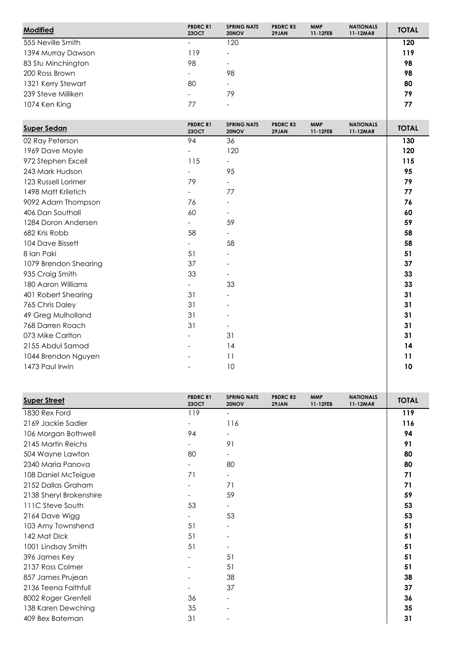| <b>Modified</b>    | <b>PBDRC R1</b><br><b>23OCT</b> | <b>SPRING NATS</b><br>20NOV | <b>PBDRC R3</b><br>29JAN | <b>MMP</b><br>11-12FEB | <b>NATIONALS</b><br>11-12MAR | <b>TOTAL</b> |
|--------------------|---------------------------------|-----------------------------|--------------------------|------------------------|------------------------------|--------------|
| 555 Neville Smith  | -                               | 120                         |                          |                        |                              | 120          |
| 1394 Murray Dawson | 119                             | $\overline{\phantom{0}}$    |                          |                        |                              | 119          |
| 83 Stu Minchington | 98                              | $\qquad \qquad$             |                          |                        |                              | 98           |
| 200 Ross Brown     |                                 | 98                          |                          |                        |                              | 98           |
| 1321 Kerry Stewart | 80                              | $\overline{\phantom{a}}$    |                          |                        |                              | 80           |
| 239 Steve Milliken |                                 | 79                          |                          |                        |                              | 79           |
| 1074 Ken King      | 77                              | $\overline{\phantom{a}}$    |                          |                        |                              | 77           |

| <b>Super Sedan</b>    | <b>PBDRC R1</b><br><b>23OCT</b> | <b>SPRING NATS</b><br>20NOV | <b>PBDRC R3</b><br>29JAN | <b>MMP</b><br>11-12FEB | <b>NATIONALS</b><br>11-12MAR | <b>TOTAL</b> |
|-----------------------|---------------------------------|-----------------------------|--------------------------|------------------------|------------------------------|--------------|
| 02 Ray Peterson       | 94                              | 36                          |                          |                        |                              | 130          |
| 1969 Dave Moyle       | $\overline{\phantom{0}}$        | 120                         |                          |                        |                              | 120          |
| 972 Stephen Excell    | 115                             | $\overline{\phantom{0}}$    |                          |                        |                              | 115          |
| 243 Mark Hudson       | $\overline{\phantom{0}}$        | 95                          |                          |                        |                              | 95           |
| 123 Russell Lorimer   | 79                              | $\overline{\phantom{0}}$    |                          |                        |                              | 79           |
| 1498 Matt Kriletich   | $\overline{\phantom{a}}$        | 77                          |                          |                        |                              | 77           |
| 9092 Adam Thompson    | 76                              | $\overline{\phantom{a}}$    |                          |                        |                              | 76           |
| 406 Dan Southall      | 60                              | $\overline{\phantom{a}}$    |                          |                        |                              | 60           |
| 1284 Doron Andersen   |                                 | 59                          |                          |                        |                              | 59           |
| 682 Kris Robb         | 58                              | $\overline{\phantom{0}}$    |                          |                        |                              | 58           |
| 104 Dave Bissett      | $\overline{\phantom{0}}$        | 58                          |                          |                        |                              | 58           |
| 8 Ian Paki            | 51                              |                             |                          |                        |                              | 51           |
| 1079 Brendon Shearing | 37                              |                             |                          |                        |                              | 37           |
| 935 Craig Smith       | 33                              |                             |                          |                        |                              | 33           |
| 180 Aaron Williams    | $\overline{\phantom{0}}$        | 33                          |                          |                        |                              | 33           |
| 401 Robert Shearing   | 31                              | $\overline{\phantom{a}}$    |                          |                        |                              | 31           |
| 765 Chris Daley       | 31                              |                             |                          |                        |                              | 31           |
| 49 Greg Mulholland    | 31                              |                             |                          |                        |                              | 31           |
| 768 Darren Roach      | 31                              | $\overline{\phantom{0}}$    |                          |                        |                              | 31           |
| 073 Mike Carlton      | $\overline{\phantom{a}}$        | 31                          |                          |                        |                              | 31           |
| 2155 Abdul Samad      |                                 | 14                          |                          |                        |                              | 14           |
| 1044 Brendon Nguyen   |                                 | 11                          |                          |                        |                              | 11           |
| 1473 Paul Irwin       |                                 | 10                          |                          |                        |                              | 10           |
|                       |                                 |                             |                          |                        |                              |              |

| <b>Super Street</b>     | <b>PBDRC R1</b><br><b>23OCT</b> | <b>SPRING NATS</b><br>20NOV | <b>PBDRC R3</b><br>29JAN | <b>MMP</b><br>11-12FEB | <b>NATIONALS</b><br>11-12MAR | <b>TOTAL</b> |
|-------------------------|---------------------------------|-----------------------------|--------------------------|------------------------|------------------------------|--------------|
| 1830 Rex Ford           | 119                             | $\overline{\phantom{0}}$    |                          |                        |                              | 119          |
| 2169 Jackie Sadler      |                                 | 116                         |                          |                        |                              | 116          |
| 106 Morgan Bothwell     | 94                              |                             |                          |                        |                              | 94           |
| 2145 Martin Reichs      |                                 | 91                          |                          |                        |                              | 91           |
| 504 Wayne Lawton        | 80                              |                             |                          |                        |                              | 80           |
| 2340 Maria Panova       |                                 | 80                          |                          |                        |                              | 80           |
| 108 Daniel McTeigue     | 71                              | $\overline{\phantom{0}}$    |                          |                        |                              | 71           |
| 2152 Dallas Graham      |                                 | 71                          |                          |                        |                              | 71           |
| 2138 Sheryl Brokenshire |                                 | 59                          |                          |                        |                              | 59           |
| 111C Steve South        | 53                              |                             |                          |                        |                              | 53           |
| 2164 Dave Wigg          |                                 | 53                          |                          |                        |                              | 53           |
| 103 Amy Townshend       | 51                              |                             |                          |                        |                              | 51           |
| 142 Mat Dick            | 51                              |                             |                          |                        |                              | 51           |
| 1001 Lindsay Smith      | 51                              |                             |                          |                        |                              | 51           |
| 396 James Key           |                                 | 51                          |                          |                        |                              | 51           |
| 2137 Ross Colmer        |                                 | 51                          |                          |                        |                              | 51           |
| 857 James Prujean       |                                 | 38                          |                          |                        |                              | 38           |
| 2136 Teena Faithfull    |                                 | 37                          |                          |                        |                              | 37           |
| 8002 Roger Grenfell     | 36                              |                             |                          |                        |                              | 36           |
| 138 Karen Dewching      | 35                              |                             |                          |                        |                              | 35           |
| 409 Bex Bateman         | 31                              |                             |                          |                        |                              | 31           |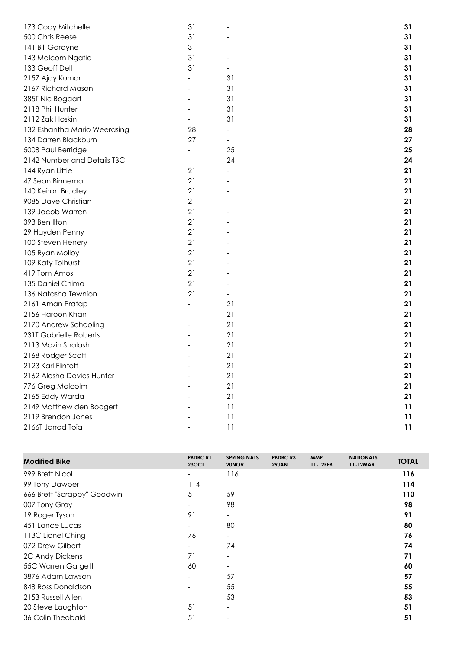| 173 Cody Mitchelle           | 31                       |                          | 31 |
|------------------------------|--------------------------|--------------------------|----|
| 500 Chris Reese              | 31                       |                          | 31 |
| 141 Bill Gardyne             | 31                       |                          | 31 |
| 143 Malcom Ngatia            | 31                       |                          | 31 |
| 133 Geoff Dell               | 31                       |                          | 31 |
| 2157 Ajay Kumar              |                          | 31                       | 31 |
| 2167 Richard Mason           |                          | 31                       | 31 |
| 385T Nic Bogaart             |                          | 31                       | 31 |
| 2118 Phil Hunter             |                          | 31                       | 31 |
| 2112 Zak Hoskin              |                          | 31                       | 31 |
| 132 Eshantha Mario Weerasing | 28                       |                          | 28 |
| 134 Darren Blackburn         | 27                       | $\overline{\phantom{0}}$ | 27 |
| 5008 Paul Berridge           |                          | 25                       | 25 |
| 2142 Number and Details TBC  | $\overline{\phantom{a}}$ | 24                       | 24 |
| 144 Ryan Little              | 21                       |                          | 21 |
| 47 Sean Binnema              | 21                       |                          | 21 |
| 140 Keiran Bradley           | 21                       |                          | 21 |
| 9085 Dave Christian          | 21                       |                          | 21 |
| 139 Jacob Warren             | 21                       |                          | 21 |
| 393 Ben Ilton                | 21                       |                          | 21 |
| 29 Hayden Penny              | 21                       |                          | 21 |
| 100 Steven Henery            | 21                       |                          | 21 |
| 105 Ryan Molloy              | 21                       |                          | 21 |
| 109 Katy Tolhurst            | 21                       |                          | 21 |
| 419 Tom Amos                 | 21                       |                          | 21 |
| 135 Daniel Chima             | 21                       |                          | 21 |
| 136 Natasha Tewnion          | 21                       |                          | 21 |
| 2161 Aman Pratap             |                          | 21                       | 21 |
| 2156 Haroon Khan             |                          | 21                       | 21 |
| 2170 Andrew Schooling        |                          | 21                       | 21 |
| 231T Gabrielle Roberts       |                          | 21                       | 21 |
| 2113 Mazin Shalash           |                          | 21                       | 21 |
| 2168 Rodger Scott            |                          | 21                       | 21 |
| 2123 Karl Flintoff           |                          | 21                       | 21 |
| 2162 Alesha Davies Hunter    |                          | 21                       | 21 |
| 776 Greg Malcolm             |                          | 21                       | 21 |
| 2165 Eddy Warda              |                          | 21                       | 21 |
| 2149 Matthew den Boogert     |                          | 11                       | 11 |
| 2119 Brendon Jones           |                          | 11                       | 11 |
| 2166T Jarrod Toia            |                          | 11                       | 11 |
|                              |                          |                          |    |
|                              |                          |                          |    |
|                              |                          |                          |    |

| <b>Modified Bike</b>        | <b>PBDRC R1</b><br><b>23OCT</b> | <b>SPRING NATS</b><br>20NOV | <b>PBDRC R3</b><br>29JAN | <b>MMP</b><br>11-12FEB | <b>NATIONALS</b><br>11-12MAR | <b>TOTAL</b> |
|-----------------------------|---------------------------------|-----------------------------|--------------------------|------------------------|------------------------------|--------------|
| 999 Brett Nicol             |                                 | 116                         |                          |                        |                              | 116          |
| 99 Tony Dawber              | 114                             | $\overline{\phantom{0}}$    |                          |                        |                              | 114          |
| 666 Brett "Scrappy" Goodwin | 51                              | 59                          |                          |                        |                              | 110          |
| 007 Tony Gray               |                                 | 98                          |                          |                        |                              | 98           |
| 19 Roger Tyson              | 91                              |                             |                          |                        |                              | 91           |
| 451 Lance Lucas             |                                 | 80                          |                          |                        |                              | 80           |
| 113C Lionel Ching           | 76                              |                             |                          |                        |                              | 76           |
| 072 Drew Gilbert            |                                 | 74                          |                          |                        |                              | 74           |
| 2C Andy Dickens             | 71                              |                             |                          |                        |                              | 71           |
| 55C Warren Gargett          | 60                              |                             |                          |                        |                              | 60           |
| 3876 Adam Lawson            |                                 | 57                          |                          |                        |                              | 57           |
| 848 Ross Donaldson          |                                 | 55                          |                          |                        |                              | 55           |
| 2153 Russell Allen          |                                 | 53                          |                          |                        |                              | 53           |
| 20 Steve Laughton           | 51                              |                             |                          |                        |                              | 51           |
| 36 Colin Theobald           | 51                              |                             |                          |                        |                              | 51           |